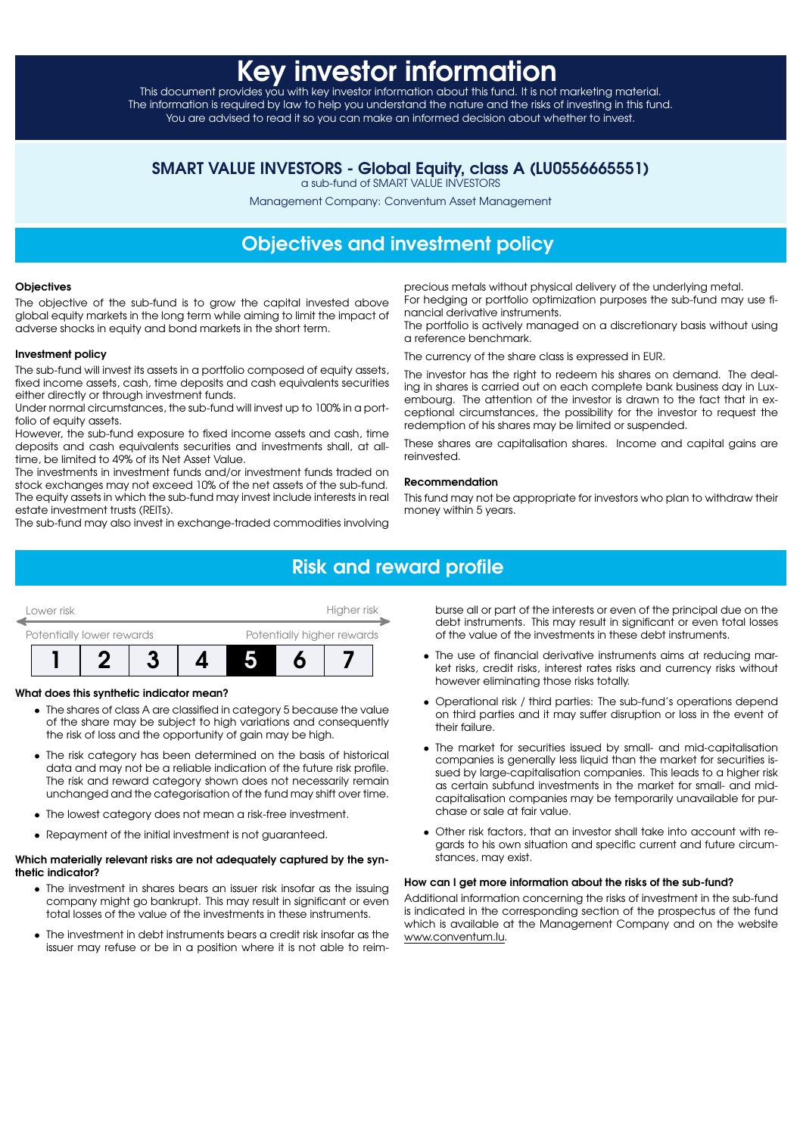# Key investor informa

This document provides you with key investor information about this fund. It is not marketing material. The information is required by law to help you understand the nature and the risks of investing in this fund. You are advised to read it so you can make an informed decision about whether to invest.

### SMART VALUE INVESTORS - Global Equity, class A (LU0556665551)

a sub-fund of SMART VALUE INVESTORS

Management Company: Conventum Asset Management

## Objectives and investment policy

#### **Objectives**

The objective of the sub-fund is to grow the capital invested above global equity markets in the long term while aiming to limit the impact of adverse shocks in equity and bond markets in the short term.

#### Investment policy

The sub-fund will invest its assets in a portfolio composed of equity assets, fixed income assets, cash, time deposits and cash equivalents securities either directly or through investment funds.

Under normal circumstances, the sub-fund will invest up to 100% in a portfolio of equity assets.

However, the sub-fund exposure to fixed income assets and cash, time deposits and cash equivalents securities and investments shall, at alltime, be limited to 49% of its Net Asset Value.

The investments in investment funds and/or investment funds traded on stock exchanges may not exceed 10% of the net assets of the sub-fund. The equity assets in which the sub-fund may invest include interests in real estate investment trusts (REITs).

The sub-fund may also invest in exchange-traded commodities involving

precious metals without physical delivery of the underlying metal. For hedging or portfolio optimization purposes the sub-fund may use financial derivative instruments.

The portfolio is actively managed on a discretionary basis without using a reference benchmark.

The currency of the share class is expressed in EUR.

The investor has the right to redeem his shares on demand. The dealing in shares is carried out on each complete bank business day in Luxembourg. The attention of the investor is drawn to the fact that in exceptional circumstances, the possibility for the investor to request the redemption of his shares may be limited or suspended.

These shares are capitalisation shares. Income and capital gains are reinvested.

#### Recommendation

This fund may not be appropriate for investors who plan to withdraw their money within 5 years.

# Risk and reward profile

| Lower risk                |  | Higher risk |  |                            |  |  |  |
|---------------------------|--|-------------|--|----------------------------|--|--|--|
| Potentially lower rewards |  |             |  | Potentially higher rewards |  |  |  |
|                           |  |             |  |                            |  |  |  |

#### What does this synthetic indicator mean?

- The shares of class A are classified in category 5 because the value of the share may be subject to high variations and consequently the risk of loss and the opportunity of gain may be high.
- The risk category has been determined on the basis of historical data and may not be a reliable indication of the future risk profile. The risk and reward category shown does not necessarily remain unchanged and the categorisation of the fund may shift over time.
- The lowest category does not mean a risk-free investment.
- Repayment of the initial investment is not guaranteed.

#### Which materially relevant risks are not adequately captured by the synthetic indicator?

- The investment in shares bears an issuer risk insofar as the issuing company might go bankrupt. This may result in significant or even total losses of the value of the investments in these instruments.
- The investment in debt instruments bears a credit risk insofar as the issuer may refuse or be in a position where it is not able to reim-

burse all or part of the interests or even of the principal due on the debt instruments. This may result in significant or even total losses of the value of the investments in these debt instruments.

- The use of financial derivative instruments aims at reducing market risks, credit risks, interest rates risks and currency risks without however eliminating those risks totally.
- Operational risk / third parties: The sub-fund's operations depend on third parties and it may suffer disruption or loss in the event of their failure.
- The market for securities issued by small- and mid-capitalisation companies is generally less liquid than the market for securities issued by large-capitalisation companies. This leads to a higher risk as certain subfund investments in the market for small- and midcapitalisation companies may be temporarily unavailable for purchase or sale at fair value.
- Other risk factors, that an investor shall take into account with regards to his own situation and specific current and future circumstances, may exist.

#### How can I get more information about the risks of the sub-fund?

Additional information concerning the risks of investment in the sub-fund is indicated in the corresponding section of the prospectus of the fund which is available at the Management Company and on the website [www.conventum.lu.](http://www.conventum.lu)